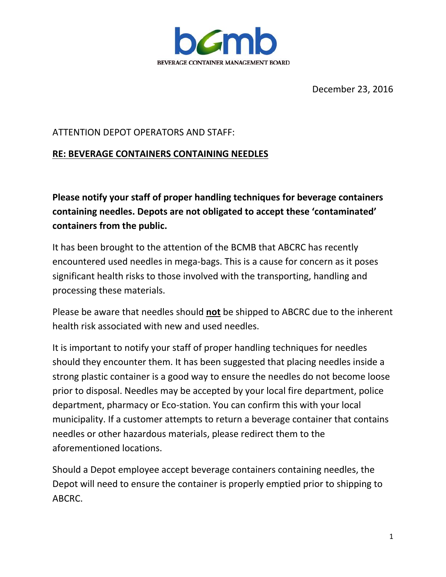

December 23, 2016

## ATTENTION DEPOT OPERATORS AND STAFF:

## **RE: BEVERAGE CONTAINERS CONTAINING NEEDLES**

**Please notify your staff of proper handling techniques for beverage containers containing needles. Depots are not obligated to accept these 'contaminated' containers from the public.**

It has been brought to the attention of the BCMB that ABCRC has recently encountered used needles in mega-bags. This is a cause for concern as it poses significant health risks to those involved with the transporting, handling and processing these materials.

Please be aware that needles should **not** be shipped to ABCRC due to the inherent health risk associated with new and used needles.

It is important to notify your staff of proper handling techniques for needles should they encounter them. It has been suggested that placing needles inside a strong plastic container is a good way to ensure the needles do not become loose prior to disposal. Needles may be accepted by your local fire department, police department, pharmacy or Eco-station. You can confirm this with your local municipality. If a customer attempts to return a beverage container that contains needles or other hazardous materials, please redirect them to the aforementioned locations.

Should a Depot employee accept beverage containers containing needles, the Depot will need to ensure the container is properly emptied prior to shipping to ABCRC.